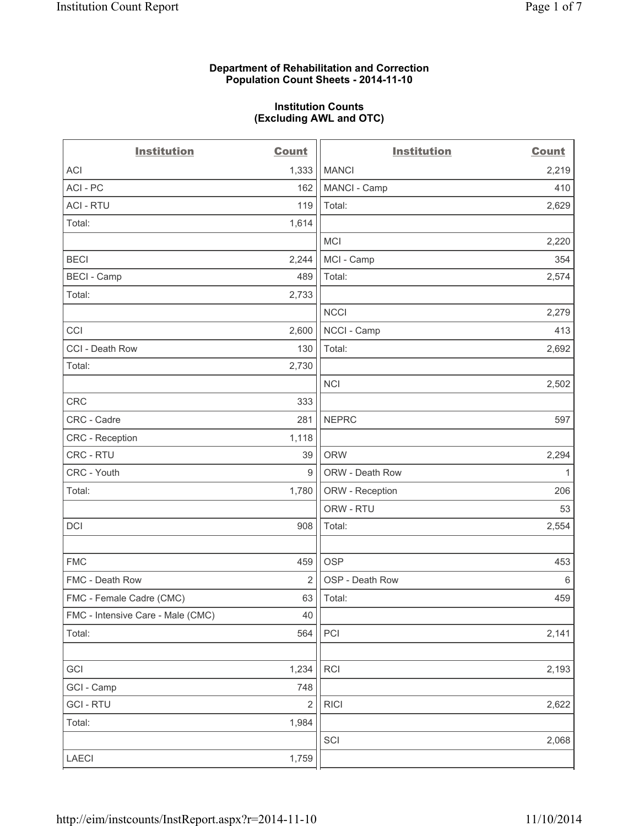### **Department of Rehabilitation and Correction Population Count Sheets - 2014-11-10**

### **Institution Counts (Excluding AWL and OTC)**

| <b>Institution</b>                | <b>Count</b>     | <b>Institution</b> | <b>Count</b> |
|-----------------------------------|------------------|--------------------|--------------|
| <b>ACI</b>                        | 1,333            | <b>MANCI</b>       | 2,219        |
| ACI - PC                          | 162              | MANCI - Camp       | 410          |
| <b>ACI - RTU</b>                  | 119              | Total:             | 2,629        |
| Total:                            | 1,614            |                    |              |
|                                   |                  | <b>MCI</b>         | 2,220        |
| <b>BECI</b>                       | 2,244            | MCI - Camp         | 354          |
| <b>BECI</b> - Camp                | 489              | Total:             | 2,574        |
| Total:                            | 2,733            |                    |              |
|                                   |                  | <b>NCCI</b>        | 2,279        |
| CCI                               | 2,600            | NCCI - Camp        | 413          |
| CCI - Death Row                   | 130              | Total:             | 2,692        |
| Total:                            | 2,730            |                    |              |
|                                   |                  | <b>NCI</b>         | 2,502        |
| CRC                               | 333              |                    |              |
| CRC - Cadre                       | 281              | <b>NEPRC</b>       | 597          |
| CRC - Reception                   | 1,118            |                    |              |
| CRC - RTU                         | 39               | <b>ORW</b>         | 2,294        |
| CRC - Youth                       | $\boldsymbol{9}$ | ORW - Death Row    | 1            |
| Total:                            | 1,780            | ORW - Reception    | 206          |
|                                   |                  | ORW - RTU          | 53           |
| DCI                               | 908              | Total:             | 2,554        |
|                                   |                  |                    |              |
| <b>FMC</b>                        | 459              | <b>OSP</b>         | 453          |
| FMC - Death Row                   | $\overline{2}$   | OSP - Death Row    | 6            |
| FMC - Female Cadre (CMC)          | 63               | Total:             | 459          |
| FMC - Intensive Care - Male (CMC) | $40\,$           |                    |              |
| Total:                            | 564              | PCI                | 2,141        |
|                                   |                  |                    |              |
| GCI                               | 1,234            | RCI                | 2,193        |
| GCI - Camp                        | 748              |                    |              |
| <b>GCI - RTU</b>                  | 2                | <b>RICI</b>        | 2,622        |
| Total:                            | 1,984            |                    |              |
|                                   |                  | SCI                | 2,068        |
| LAECI                             | 1,759            |                    |              |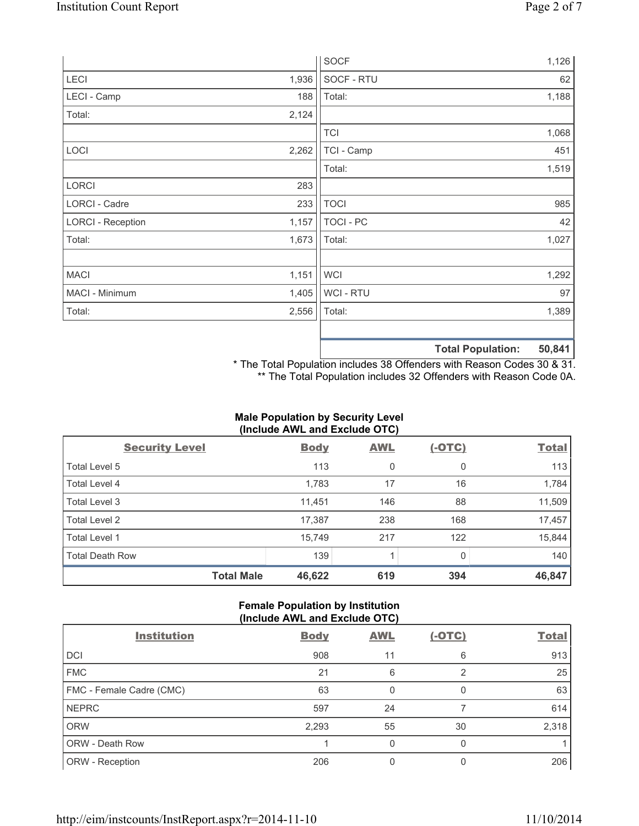|                          |       | <b>SOCF</b>      |                          | 1,126  |
|--------------------------|-------|------------------|--------------------------|--------|
| LECI                     | 1,936 | SOCF - RTU       |                          | 62     |
| LECI - Camp              | 188   | Total:           |                          | 1,188  |
| Total:                   | 2,124 |                  |                          |        |
|                          |       | <b>TCI</b>       |                          | 1,068  |
| LOCI                     | 2,262 | TCI - Camp       |                          | 451    |
|                          |       | Total:           |                          | 1,519  |
| <b>LORCI</b>             | 283   |                  |                          |        |
| LORCI - Cadre            | 233   | <b>TOCI</b>      |                          | 985    |
| <b>LORCI - Reception</b> | 1,157 | <b>TOCI - PC</b> |                          | 42     |
| Total:                   | 1,673 | Total:           |                          | 1,027  |
|                          |       |                  |                          |        |
| <b>MACI</b>              | 1,151 | <b>WCI</b>       |                          | 1,292  |
| MACI - Minimum           | 1,405 | WCI - RTU        |                          | 97     |
| Total:                   | 2,556 | Total:           |                          | 1,389  |
|                          |       |                  |                          |        |
|                          |       |                  | <b>Total Population:</b> | 50,841 |

\* The Total Population includes 38 Offenders with Reason Codes 30 & 31. \*\* The Total Population includes 32 Offenders with Reason Code 0A.

## **Male Population by Security Level (Include AWL and Exclude OTC)**

| <b>Security Level</b>  | <b>Body</b> | <b>AWL</b> | <u>(-OTC)</u> | <b>Total</b> |
|------------------------|-------------|------------|---------------|--------------|
| Total Level 5          | 113         | 0          | 0             | 113          |
| Total Level 4          | 1,783       | 17         | 16            | 1,784        |
| Total Level 3          | 11,451      | 146        | 88            | 11,509       |
| Total Level 2          | 17,387      | 238        | 168           | 17,457       |
| Total Level 1          | 15,749      | 217        | 122           | 15,844       |
| <b>Total Death Row</b> | 139         | 1          | 0             | 140          |
| <b>Total Male</b>      | 46,622      | 619        | 394           | 46,847       |

## **Female Population by Institution (Include AWL and Exclude OTC)**

| <b>Institution</b>       | <b>Body</b> | <b>AWL</b>   | $(-OTC)$ | <b>Total</b> |
|--------------------------|-------------|--------------|----------|--------------|
| <b>DCI</b>               | 908         | 11           | 6        | 913          |
| <b>FMC</b>               | 21          | 6            | 2        | 25           |
| FMC - Female Cadre (CMC) | 63          | $\mathbf{0}$ | 0        | 63           |
| <b>NEPRC</b>             | 597         | 24           |          | 614          |
| <b>ORW</b>               | 2,293       | 55           | 30       | 2,318        |
| <b>ORW - Death Row</b>   |             | 0            | 0        |              |
| ORW - Reception          | 206         |              |          | 206          |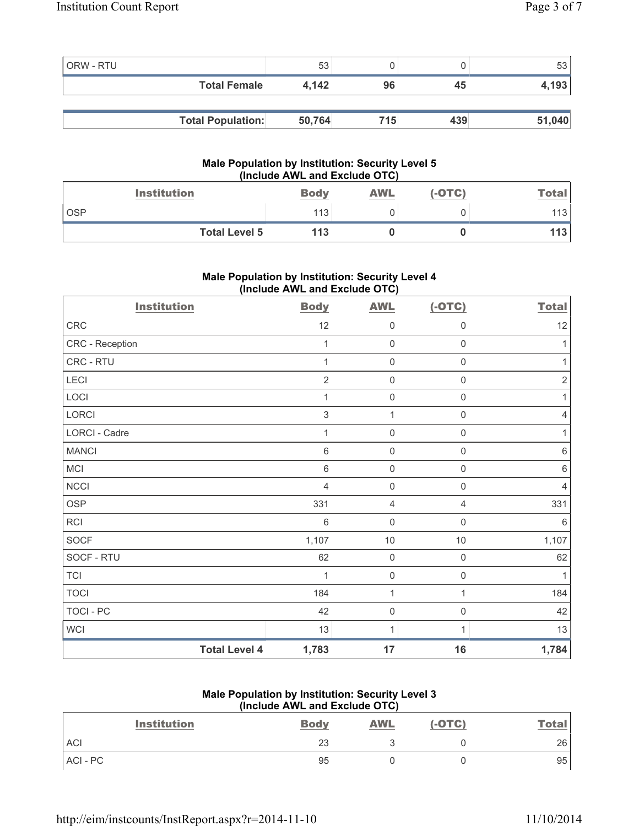| ORW - RTU |                          | 53     |     |     | 53     |
|-----------|--------------------------|--------|-----|-----|--------|
|           | <b>Total Female</b>      | 4.142  | 96  | 45  | 4,193  |
|           |                          |        |     |     |        |
|           | <b>Total Population:</b> | 50,764 | 715 | 439 | 51,040 |

### **Male Population by Institution: Security Level 5 (Include AWL and Exclude OTC)**

| <b>Institution</b>   | <b>Body</b> | <b>AWL</b> | $(-OTC)$ | <b>Total</b> |
|----------------------|-------------|------------|----------|--------------|
| <b>OSP</b>           | 113         |            |          | 113          |
| <b>Total Level 5</b> | 113         |            |          | 113          |

# **Male Population by Institution: Security Level 4 (Include AWL and Exclude OTC)**

| <b>Institution</b>   | <b>Body</b>    | <b>AWL</b>          | $(-OTC)$            | <b>Total</b> |
|----------------------|----------------|---------------------|---------------------|--------------|
| CRC                  | 12             | 0                   | $\mathsf{0}$        | 12           |
| CRC - Reception      | $\mathbf 1$    | $\mathsf 0$         | $\mathsf 0$         | 1            |
| CRC - RTU            | 1              | 0                   | $\mathsf 0$         | 1            |
| LECI                 | $\overline{2}$ | 0                   | $\mathsf{0}$        | $\sqrt{2}$   |
| LOCI                 | $\mathbf{1}$   | $\mathsf{O}\xspace$ | $\mathsf{O}\xspace$ | 1            |
| LORCI                | $\sqrt{3}$     | 1                   | $\mathbf 0$         | 4            |
| LORCI - Cadre        | 1              | $\mathsf{O}\xspace$ | $\mathsf{O}\xspace$ |              |
| <b>MANCI</b>         | $6\,$          | $\mathsf{O}\xspace$ | $\mathsf 0$         | $\,6$        |
| MCI                  | $\,6$          | 0                   | $\mathsf 0$         | 6            |
| <b>NCCI</b>          | 4              | 0                   | $\mathsf{O}\xspace$ | 4            |
| <b>OSP</b>           | 331            | 4                   | 4                   | 331          |
| RCI                  | $\,6$          | $\mathsf{O}\xspace$ | $\mathsf 0$         | 6            |
| SOCF                 | 1,107          | $10$                | $10$                | 1,107        |
| SOCF - RTU           | 62             | $\mathsf{O}\xspace$ | $\mathsf 0$         | 62           |
| <b>TCI</b>           | 1              | 0                   | $\mathsf 0$         | 1            |
| <b>TOCI</b>          | 184            | 1                   | 1                   | 184          |
| <b>TOCI - PC</b>     | 42             | $\mathsf{O}\xspace$ | $\mathsf 0$         | 42           |
| <b>WCI</b>           | 13             | $\mathbf{1}$        | 1                   | 13           |
| <b>Total Level 4</b> | 1,783          | 17                  | 16                  | 1,784        |

## **Male Population by Institution: Security Level 3 (Include AWL and Exclude OTC)**

| <b>Institution</b> | <b>Body</b> | <b>AWL</b> | $(-OTC)$ | <b>Total</b> |
|--------------------|-------------|------------|----------|--------------|
| <b>ACI</b>         | 23          |            |          | 26           |
| ACI - PC           | 95          |            |          | 95           |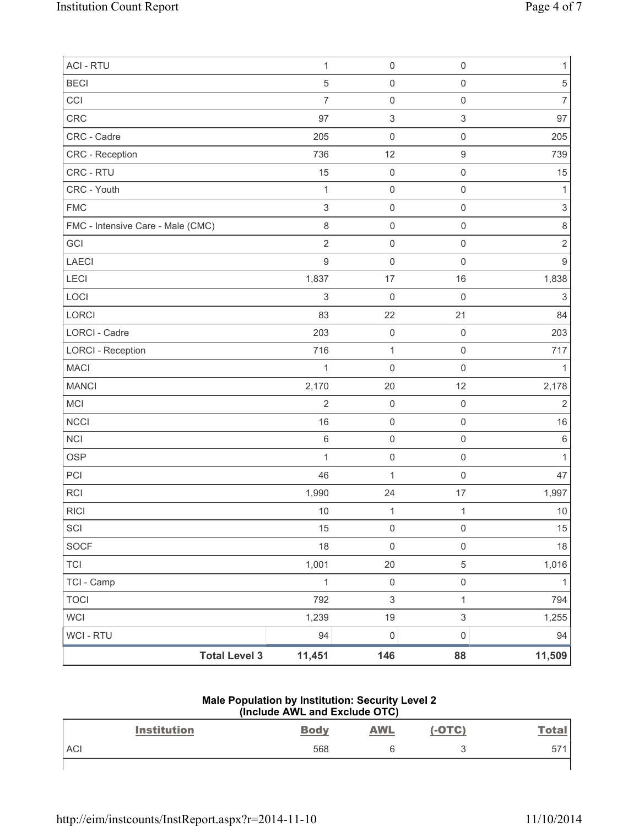| <b>ACI - RTU</b>                  | $\mathbf{1}$     | $\mathsf{O}\xspace$       | $\mathsf{O}\xspace$ | $\mathbf{1}$              |
|-----------------------------------|------------------|---------------------------|---------------------|---------------------------|
| <b>BECI</b>                       | $\sqrt{5}$       | $\mathsf 0$               | $\mathsf{O}\xspace$ | $\mathbf 5$               |
| CCI                               | $\overline{7}$   | $\mathsf{O}\xspace$       | $\mathsf{O}\xspace$ | $\overline{7}$            |
| CRC                               | 97               | $\ensuremath{\mathsf{3}}$ | $\mathsf 3$         | 97                        |
| CRC - Cadre                       | 205              | $\mathsf{O}\xspace$       | $\mathsf 0$         | 205                       |
| CRC - Reception                   | 736              | 12                        | 9                   | 739                       |
| CRC - RTU                         | 15               | $\mathsf 0$               | $\mathsf{O}\xspace$ | 15                        |
| CRC - Youth                       | 1                | $\mathsf{O}\xspace$       | $\mathsf 0$         | 1                         |
| <b>FMC</b>                        | $\sqrt{3}$       | $\mathsf{O}\xspace$       | $\mathsf{O}\xspace$ | $\ensuremath{\mathsf{3}}$ |
| FMC - Intensive Care - Male (CMC) | $\,8\,$          | $\mathsf 0$               | $\mathsf{O}\xspace$ | $\,8\,$                   |
| GCI                               | $\overline{2}$   | $\mathsf{O}\xspace$       | $\mathsf{O}\xspace$ | $\overline{2}$            |
| <b>LAECI</b>                      | $\boldsymbol{9}$ | $\mathsf{O}\xspace$       | $\mathsf{O}\xspace$ | $\boldsymbol{9}$          |
| LECI                              | 1,837            | $17\,$                    | 16                  | 1,838                     |
| LOCI                              | $\sqrt{3}$       | $\mathsf{O}\xspace$       | $\mathsf{O}\xspace$ | $\sqrt{3}$                |
| LORCI                             | 83               | 22                        | 21                  | 84                        |
| LORCI - Cadre                     | 203              | $\mathsf{O}\xspace$       | $\mathsf 0$         | 203                       |
| <b>LORCI - Reception</b>          | 716              | $\mathbf{1}$              | $\mathsf 0$         | 717                       |
| <b>MACI</b>                       | $\mathbf{1}$     | $\mathsf{O}\xspace$       | $\mathsf{O}\xspace$ | $\mathbf{1}$              |
| <b>MANCI</b>                      | 2,170            | 20                        | 12                  | 2,178                     |
| MCI                               | $\overline{2}$   | $\mathsf{O}\xspace$       | $\mathsf{O}\xspace$ | $\sqrt{2}$                |
| <b>NCCI</b>                       | 16               | $\mathsf 0$               | $\mathsf{O}\xspace$ | 16                        |
| <b>NCI</b>                        | $\,6\,$          | $\mathsf{O}\xspace$       | $\mathsf 0$         | $\,6\,$                   |
| <b>OSP</b>                        | 1                | $\mathsf 0$               | $\mathsf{O}\xspace$ | $\mathbf{1}$              |
| PCI                               | 46               | $\mathbf{1}$              | $\mathsf{O}\xspace$ | 47                        |
| RCI                               | 1,990            | 24                        | $17$                | 1,997                     |
| <b>RICI</b>                       | 10               | $\mathbf{1}$              | $\mathbf{1}$        | $10$                      |
| SCI                               | 15               | $\mathsf 0$               | 0                   | 15                        |
| SOCF                              | 18               | $\mathsf{O}\xspace$       | $\mathsf{O}\xspace$ | $18$                      |
| <b>TCI</b>                        | 1,001            | 20                        | 5                   | 1,016                     |
| TCI - Camp                        | $\mathbf{1}$     | $\mathsf{O}\xspace$       | $\mathsf{O}\xspace$ | $\mathbf{1}$              |
| <b>TOCI</b>                       | 792              | $\ensuremath{\mathsf{3}}$ | $\mathbf{1}$        | 794                       |
| <b>WCI</b>                        | 1,239            | $19$                      | $\mathfrak{S}$      | 1,255                     |
| WCI - RTU                         | 94               | $\mathsf{O}\xspace$       | $\mathsf{O}\xspace$ | 94                        |
| <b>Total Level 3</b>              | 11,451           | 146                       | 88                  | 11,509                    |

## **Male Population by Institution: Security Level 2 (Include AWL and Exclude OTC)**

|            | <b>Institution</b> | <b>Body</b> | <b>AWL</b> | $(-OTC)$ | <u>Total</u> |
|------------|--------------------|-------------|------------|----------|--------------|
| <b>ACI</b> |                    | 568         | 'n         | L.       | 57'          |
|            |                    |             |            |          |              |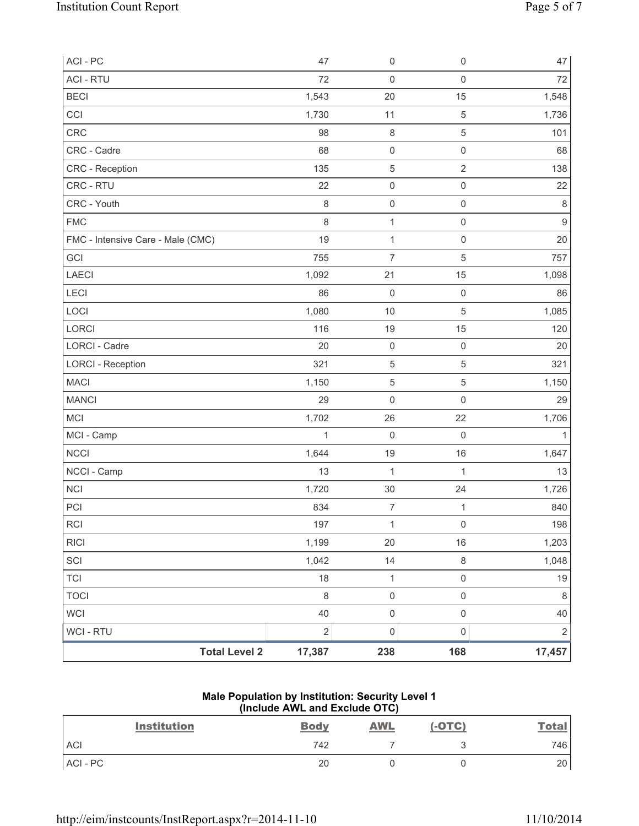| ACI - PC                          | 47           | $\mathsf{O}\xspace$ | $\mathsf 0$         | 47             |
|-----------------------------------|--------------|---------------------|---------------------|----------------|
| <b>ACI - RTU</b>                  | 72           | $\mathsf 0$         | $\mathsf{O}\xspace$ | 72             |
| <b>BECI</b>                       | 1,543        | 20                  | 15                  | 1,548          |
| CCI                               | 1,730        | 11                  | $\,$ 5 $\,$         | 1,736          |
| CRC                               | 98           | $\,8\,$             | 5                   | 101            |
| CRC - Cadre                       | 68           | $\mathsf 0$         | $\mathsf 0$         | 68             |
| CRC - Reception                   | 135          | $\mathbf 5$         | $\overline{2}$      | 138            |
| CRC - RTU                         | 22           | $\mathsf{O}\xspace$ | $\mathsf{O}\xspace$ | 22             |
| CRC - Youth                       | $\,8\,$      | $\mathsf 0$         | $\mathsf 0$         | $\,8\,$        |
| <b>FMC</b>                        | 8            | $\mathbf 1$         | $\mathsf 0$         | $\mathsf g$    |
| FMC - Intensive Care - Male (CMC) | 19           | $\mathbf{1}$        | $\mathsf{O}\xspace$ | 20             |
| GCI                               | 755          | $\overline{7}$      | $\,$ 5 $\,$         | 757            |
| LAECI                             | 1,092        | 21                  | 15                  | 1,098          |
| LECI                              | 86           | $\mathsf{O}\xspace$ | $\mathsf 0$         | 86             |
| LOCI                              | 1,080        | $10$                | $\,$ 5 $\,$         | 1,085          |
| LORCI                             | 116          | 19                  | 15                  | 120            |
| <b>LORCI - Cadre</b>              | 20           | $\mathsf 0$         | $\mathsf 0$         | 20             |
| <b>LORCI - Reception</b>          | 321          | $\,$ 5 $\,$         | 5                   | 321            |
| <b>MACI</b>                       | 1,150        | $\sqrt{5}$          | 5                   | 1,150          |
| <b>MANCI</b>                      | 29           | $\mathsf{O}\xspace$ | $\mathsf 0$         | 29             |
| MCI                               | 1,702        | 26                  | 22                  | 1,706          |
| MCI - Camp                        | $\mathbf{1}$ | $\mathbf 0$         | $\mathsf{O}\xspace$ |                |
| <b>NCCI</b>                       | 1,644        | 19                  | 16                  | 1,647          |
| NCCI - Camp                       | 13           | $\mathbf{1}$        | $\mathbf{1}$        | 13             |
| <b>NCI</b>                        | 1,720        | 30                  | 24                  | 1,726          |
| PCI                               | 834          | $\overline{7}$      | 1                   | 840            |
| RCI                               | 197          | 1                   | $\mathsf{O}\xspace$ | 198            |
| <b>RICI</b>                       | 1,199        | 20                  | 16                  | 1,203          |
| SCI                               | 1,042        | 14                  | $\,8\,$             | 1,048          |
| <b>TCI</b>                        | 18           | $\mathbf 1$         | $\mathsf{O}\xspace$ | 19             |
| <b>TOCI</b>                       | $\,8\,$      | $\mathsf{O}\xspace$ | $\mathsf{O}\xspace$ | 8              |
| WCI                               | 40           | $\mathsf 0$         | $\mathsf 0$         | 40             |
| WCI - RTU                         | $\mathbf 2$  | $\mathsf{O}\xspace$ | $\mathsf 0$         | $\overline{2}$ |
| <b>Total Level 2</b>              | 17,387       | 238                 | 168                 | 17,457         |

### **Male Population by Institution: Security Level 1 (Include AWL and Exclude OTC)**

| <b>Institution</b> | <b>Body</b> | <b>AWL</b> | $(-OTC)$ | <b>Total</b> |
|--------------------|-------------|------------|----------|--------------|
| <b>ACI</b>         | 742         |            |          | 746          |
| ACI-PC             | 20          |            |          | 20           |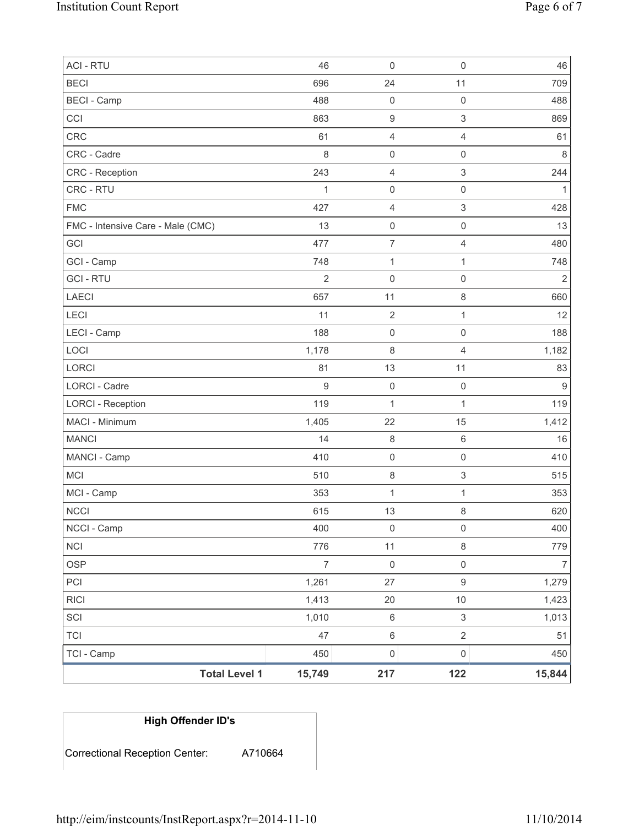| TCI - Camp                               | 450              | $\mathsf{O}\xspace$                   | $\mathsf{O}\xspace$                   | 450            |
|------------------------------------------|------------------|---------------------------------------|---------------------------------------|----------------|
| <b>TCI</b>                               | 47               | $\,6\,$                               | $\overline{2}$                        | 51             |
| SCI                                      | 1,010            | $\,6\,$                               | $\mathfrak{S}$                        | 1,013          |
| <b>RICI</b>                              | 1,413            | 20                                    | $10$                                  | 1,423          |
| PCI                                      | 1,261            | 27                                    | 9                                     | 1,279          |
| <b>OSP</b>                               | $\overline{7}$   | $\mathsf{O}\xspace$                   | $\mathsf{O}\xspace$                   | $\overline{7}$ |
| <b>NCI</b>                               | 776              | 11                                    | 8                                     | 779            |
| NCCI - Camp                              | 400              | $\mathsf 0$                           | $\mathsf{O}\xspace$                   | 400            |
| <b>NCCI</b>                              | 615              | 13                                    | 8                                     | 620            |
| MCI - Camp                               | 353              | 1                                     | $\mathbf{1}$                          | 353            |
| <b>MCI</b>                               | 510              | $\,8\,$                               | 3                                     | 515            |
| MANCI - Camp                             | 410              | $\mathsf 0$                           | $\mathsf{O}\xspace$                   | 410            |
| <b>MANCI</b>                             | 14               | $\,8\,$                               | 6                                     | 16             |
| MACI - Minimum                           | 1,405            | 22                                    | 15                                    | 1,412          |
| <b>LORCI - Reception</b>                 | 119              | $\mathbf 1$                           | $\mathbf{1}$                          | 119            |
| LORCI - Cadre                            | $\boldsymbol{9}$ | $\mathsf 0$                           | $\mathsf{O}\xspace$                   | $9\,$          |
| <b>LORCI</b>                             | 81               | 13                                    | 11                                    | 83             |
| LOCI                                     | 1,178            | 8                                     | $\overline{4}$                        | 1,182          |
| LECI - Camp                              | 188              | $\mathsf{O}\xspace$                   | $\mathsf{O}\xspace$                   | 188            |
| LECI                                     | 11               | $\mathbf{2}$                          | 1                                     | 12             |
| <b>LAECI</b>                             | 657              | 11                                    | 8                                     | 660            |
| <b>GCI - RTU</b>                         | $\overline{2}$   | $\mathsf{O}\xspace$                   | $\mathsf 0$                           | $\overline{2}$ |
| GCI - Camp                               | 748              | $\mathbf{1}$                          | $\mathbf{1}$                          | 748            |
| FMC - Intensive Care - Male (CMC)<br>GCI | 13<br>477        | $\mathsf{O}\xspace$<br>$\overline{7}$ | $\mathsf{O}\xspace$<br>$\overline{4}$ | 13<br>480      |
| <b>FMC</b>                               | 427              | $\overline{4}$                        | 3                                     | 428            |
| CRC - RTU                                | $\mathbf{1}$     | $\mathsf 0$                           | $\mathsf{O}\xspace$                   | 1              |
| <b>CRC</b> - Reception                   | 243              | $\overline{4}$                        | $\mathsf 3$                           | 244            |
| CRC - Cadre                              | 8                | $\mathsf{O}\xspace$                   | $\mathsf{O}\xspace$                   | $\,8\,$        |
| <b>CRC</b>                               | 61               | $\overline{4}$                        | $\overline{4}$                        | 61             |
| CCI                                      | 863              | $\boldsymbol{9}$                      | 3                                     | 869            |
| <b>BECI - Camp</b>                       | 488              | $\mathbf 0$                           | $\mathsf{O}\xspace$                   | 488            |
| <b>BECI</b>                              | 696              | 24                                    | 11                                    | 709            |
| <b>ACI - RTU</b>                         | 46               | $\mathsf 0$                           | $\mathsf 0$                           | 46             |

# **High Offender ID's**

Correctional Reception Center: A710664